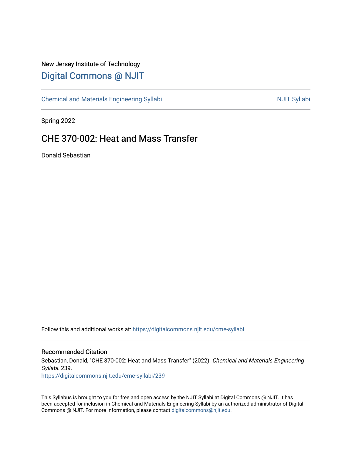## New Jersey Institute of Technology [Digital Commons @ NJIT](https://digitalcommons.njit.edu/)

[Chemical and Materials Engineering Syllabi](https://digitalcommons.njit.edu/cme-syllabi) Nulle and Syllabi Nulle Syllabi Nulle Syllabi Nulle Syllabi Nulle Syllabi

Spring 2022

# CHE 370-002: Heat and Mass Transfer

Donald Sebastian

Follow this and additional works at: [https://digitalcommons.njit.edu/cme-syllabi](https://digitalcommons.njit.edu/cme-syllabi?utm_source=digitalcommons.njit.edu%2Fcme-syllabi%2F239&utm_medium=PDF&utm_campaign=PDFCoverPages) 

#### Recommended Citation

Sebastian, Donald, "CHE 370-002: Heat and Mass Transfer" (2022). Chemical and Materials Engineering Syllabi. 239.

[https://digitalcommons.njit.edu/cme-syllabi/239](https://digitalcommons.njit.edu/cme-syllabi/239?utm_source=digitalcommons.njit.edu%2Fcme-syllabi%2F239&utm_medium=PDF&utm_campaign=PDFCoverPages) 

This Syllabus is brought to you for free and open access by the NJIT Syllabi at Digital Commons @ NJIT. It has been accepted for inclusion in Chemical and Materials Engineering Syllabi by an authorized administrator of Digital Commons @ NJIT. For more information, please contact [digitalcommons@njit.edu.](mailto:digitalcommons@njit.edu)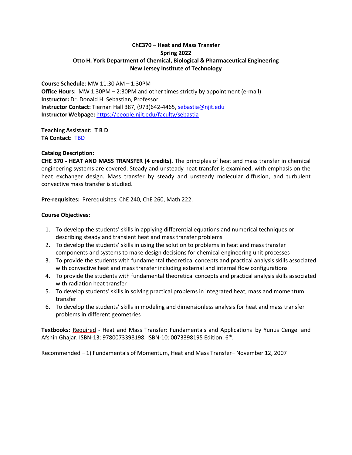#### **ChE370 – Heat and Mass Transfer Spring 2022 Otto H. York Department of Chemical, Biological & Pharmaceutical Engineering New Jersey Institute of Technology**

**Course Schedule**: MW 11:30 AM – 1:30PM **Office Hours:** MW 1:30PM – 2:30PM and other times strictly by appointment (e-mail) **Instructor:** Dr. Donald H. Sebastian, Professor **Instructor Contact:** Tiernan Hall 387, (973)642-4465[, sebastia@njit.edu](mailto:sebastia@njit.edu)  **Instructor Webpage:** <https://people.njit.edu/faculty/sebastia>

**Teaching Assistant: TBD TA Contact:** [TBD](mailto:cgk6@njit.edu)

#### **Catalog Description:**

**CHE 370 - HEAT AND MASS TRANSFER (4 credits).** The principles of heat and mass transfer in chemical engineering systems are covered. Steady and unsteady heat transfer is examined, with emphasis on the heat exchanger design. Mass transfer by steady and unsteady molecular diffusion, and turbulent convective mass transfer is studied.

**Pre-requisites:** Prerequisites: ChE 240, ChE 260, Math 222.

#### **Course Objectives:**

- 1. To develop the students' skills in applying differential equations and numerical techniques or describing steady and transient heat and mass transfer problems
- 2. To develop the students' skills in using the solution to problems in heat and mass transfer components and systems to make design decisions for chemical engineering unit processes
- 3. To provide the students with fundamental theoretical concepts and practical analysis skills associated with convective heat and mass transfer including external and internal flow configurations
- 4. To provide the students with fundamental theoretical concepts and practical analysis skills associated with radiation heat transfer
- 5. To develop students' skills in solving practical problems in integrated heat, mass and momentum transfer
- 6. To develop the students' skills in modeling and dimensionless analysis for heat and mass transfer problems in different geometries

**Textbooks:** Required - Heat and Mass Transfer: Fundamentals and Applications–by Yunus Cengel and Afshin Ghajar. ISBN-13: 9780073398198, ISBN-10: 0073398195 Edition: 6<sup>th</sup>.

Recommended – 1) Fundamentals of Momentum, Heat and Mass Transfer– November 12, 2007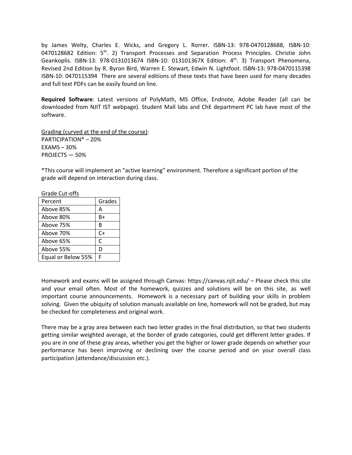by James Welty, Charles E. Wicks, and Gregory L. Rorrer. ISBN-13: 978-0470128688, ISBN-10: 0470128682 Edition: 5<sup>th</sup>. 2) Transport Processes and Separation Process Principles. Christie John Geankoplis. ISBN-13: 978-0131013674 ISBN-10: 013101367X Edition: 4<sup>th</sup>. 3) Transport Phenomena, Revised 2nd Edition by R. Byron Bird, Warren E. Stewart, Edwin N. Lightfoot. ISBN-13: 978-0470115398 ISBN-10: 0470115394 There are several editions of these texts that have been used for many decades and full text PDFs can be easily found on line.

**Required Software**: Latest versions of PolyMath, MS Office, Endnote, Adobe Reader (all can be downloaded from NJIT IST webpage). Student Mall labs and ChE department PC lab have most of the software.

Grading (curved at the end of the course): PARTICIPATION\* – 20% EXAMS – 30% PROJECTS — 50%

\*This course will implement an "active learning" environment. Therefore a significant portion of the grade will depend on interaction during class.

| Orduc Cut Ons      |        |
|--------------------|--------|
| Percent            | Grades |
| Above 85%          | А      |
| Above 80%          | B+     |
| Above 75%          | R      |
| Above 70%          | $C+$   |
| Above 65%          | C      |
| Above 55%          | D      |
| Equal or Below 55% | F      |

Grade Cut-offs

Homework and exams will be assigned through Canvas: https://canvas.njit.edu/ – Please check this site and your email often. Most of the homework, quizzes and solutions will be on this site, as well important course announcements. Homework is a necessary part of building your skills in problem solving. Given the ubiquity of solution manuals available on line, homework will not be graded, but may be checked for completeness and original work.

There may be a gray area between each two letter grades in the final distribution, so that two students getting similar weighted average, at the border of grade categories, could get different letter grades. If you are in one of these gray areas, whether you get the higher or lower grade depends on whether your performance has been improving or declining over the course period and on your overall class participation (attendance/discussion etc.).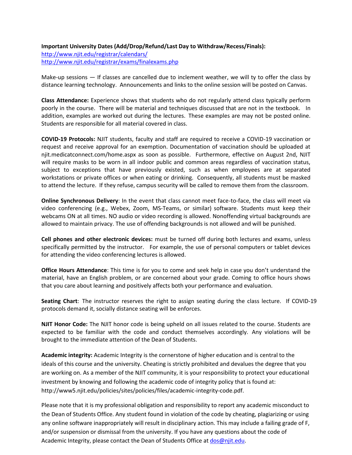#### **Important University Dates (Add/Drop/Refund/Last Day to Withdraw/Recess/Finals):**

<http://www.njit.edu/registrar/calendars/> <http://www.njit.edu/registrar/exams/finalexams.php>

Make-up sessions — If classes are cancelled due to inclement weather, we will ty to offer the class by distance learning technology. Announcements and links to the online session will be posted on Canvas.

**Class Attendance:** Experience shows that students who do not regularly attend class typically perform poorly in the course. There will be material and techniques discussed that are not in the textbook. In addition, examples are worked out during the lectures. These examples are may not be posted online. Students are responsible for all material covered in class.

**COVID-19 Protocols:** NJIT students, faculty and staff are required to receive a COVID-19 vaccination or request and receive approval for an exemption. Documentation of vaccination should be uploaded at njit.medicatconnect.com/home.aspx as soon as possible. Furthermore, effective on August 2nd, NJIT will require masks to be worn in all indoor public and common areas regardless of vaccination status, subject to exceptions that have previously existed, such as when employees are at separated workstations or private offices or when eating or drinking. Consequently, all students must be masked to attend the lecture. If they refuse, campus security will be called to remove them from the classroom.

**Online Synchronous Delivery**: In the event that class cannot meet face-to-face, the class will meet via video conferencing (e.g., Webex, Zoom, MS-Teams, or similar) software. Students must keep their webcams ON at all times. NO audio or video recording is allowed. Nonoffending virtual backgrounds are allowed to maintain privacy. The use of offending backgrounds is not allowed and will be punished.

**Cell phones and other electronic devices:** must be turned off during both lectures and exams, unless specifically permitted by the instructor. For example, the use of personal computers or tablet devices for attending the video conferencing lectures is allowed.

**Office Hours Attendance**: This time is for you to come and seek help in case you don't understand the material, have an English problem, or are concerned about your grade. Coming to office hours shows that you care about learning and positively affects both your performance and evaluation.

**Seating Chart**: The instructor reserves the right to assign seating during the class lecture. If COVID-19 protocols demand it, socially distance seating will be enforces.

**NJIT Honor Code:** The NJIT honor code is being upheld on all issues related to the course. Students are expected to be familiar with the code and conduct themselves accordingly. Any violations will be brought to the immediate attention of the Dean of Students.

**Academic integrity:** Academic Integrity is the cornerstone of higher education and is central to the ideals of this course and the university. Cheating is strictly prohibited and devalues the degree that you are working on. As a member of the NJIT community, it is your responsibility to protect your educational investment by knowing and following the academic code of integrity policy that is found at: [http://www5.njit.edu/policies/sites/policies/files/academic-integrity-code.pdf.](http://www5.njit.edu/policies/sites/policies/files/academic-integrity-code.pdf)

Please note that it is my professional obligation and responsibility to report any academic misconduct to the Dean of Students Office. Any student found in violation of the code by cheating, plagiarizing or using any online software inappropriately will result in disciplinary action. This may include a failing grade of F, and/or suspension or dismissal from the university. If you have any questions about the code of Academic Integrity, please contact the Dean of Students Office at [dos@njit.edu.](mailto:dos@njit.edu)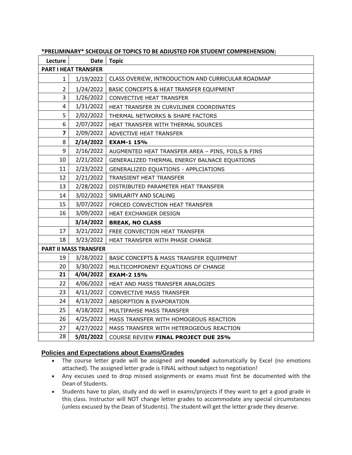| Lecture                      | <b>Date</b> | <b>Topic</b>                                       |
|------------------------------|-------------|----------------------------------------------------|
| <b>PART I HEAT TRANSFER</b>  |             |                                                    |
| $\mathbf{1}$                 | 1/19/2022   | CLASS OVERIEW, INTRODUCTION AND CURRICULAR ROADMAP |
| $\overline{2}$               | 1/24/2022   | BASIC CONCEPTS & HEAT TRANSFER EQUIPMENT           |
| 3                            | 1/26/2022   | CONVECTIVE HEAT TRANSFER                           |
| 4                            | 1/31/2022   | HEAT TRANSFER IN CURVILINER COORDINATES            |
| 5                            | 2/02/2022   | THERMAL NETWORKS & SHAPE FACTORS                   |
| 6                            | 2/07/2022   | HEAT TRANSFER WITH THERMAL SOURCES                 |
| $\overline{\mathbf{z}}$      | 2/09/2022   | ADVECTIVE HEAT TRANSFER                            |
| 8                            | 2/14/2022   | <b>EXAM-1 15%</b>                                  |
| 9                            | 2/16/2022   | AUGMENTED HEAT TRANSFER AREA - PINS, FOILS & FINS  |
| 10                           | 2/21/2022   | GENERALIZED THERMAL ENERGY BALNACE EQUATIONS       |
| 11                           | 2/23/2022   | GENERALIZED EQUATIONS - APPLCIATIONS               |
| 12                           | 2/21/2022   | <b>TRANSIENT HEAT TRANSFER</b>                     |
| 13                           | 2/28/2022   | DISTRIBUTED PARAMETER HEAT TRANSFER                |
| 14                           | 3/02/2022   | SIMILARITY AND SCALING                             |
| 15                           | 3/07/2022   | FORCED CONVECTION HEAT TRANSFER                    |
| 16                           | 3/09/2022   | HEAT EXCHANGER DESIGN                              |
|                              | 3/14/2022   | <b>BREAK, NO CLASS</b>                             |
| 17                           | 3/21/2022   | FREE CONVECTION HEAT TRANSFER                      |
| 18                           | 3/23/2022   | HEAT TRANSFER WITH PHASE CHANGE                    |
| <b>PART II MASS TRANSFER</b> |             |                                                    |
| 19                           | 3/28/2022   | BASIC CONCEPTS & MASS TRANSFER EQUIPMENT           |
| 20                           | 3/30/2022   | MULTICOMPONENT EQUATIONS OF CHANGE                 |
| 21                           | 4/04/2022   | <b>EXAM-2 15%</b>                                  |
| 22                           | 4/06/2022   | HEAT AND MASS TRANSFER ANALOGIES                   |
| 23                           | 4/11/2022   | <b>CONVECTIVE MASS TRANSFER</b>                    |
| 24                           | 4/13/2022   | ABSORPTION & EVAPORATION                           |
| 25                           | 4/18/2022   | MULTIPAHSE MASS TRANSFER                           |
| 26                           | 4/25/2022   | MASS TRANSFER WITH HOMOGEOUS REACTION              |
| 27                           | 4/27/2022   | MASS TRANSFER WITH HETEROGEOUS REACTION            |
| 28                           | 5/01/2022   | <b>COURSE REVIEW FINAL PROJECT DUE 25%</b>         |

**\*PRELIMINARY\* SCHEDULE OF TOPICS TO BE ADJUSTED FOR STUDENT COMPREHENSION:**

### **Policies and Expectations about Exams/Grades**

- The course letter grade will be assigned and **rounded** automatically by Excel (no emotions attached). The assigned letter grade is FINAL without subject to negotiation!
- Any excuses used to drop missed assignments or exams must first be documented with the Dean of Students.
- Students have to plan, study and do well in exams/projects if they want to get a good grade in this class. Instructor will NOT change letter grades to accommodate any special circumstances (unless excused by the Dean of Students). The student will get the letter grade they deserve.